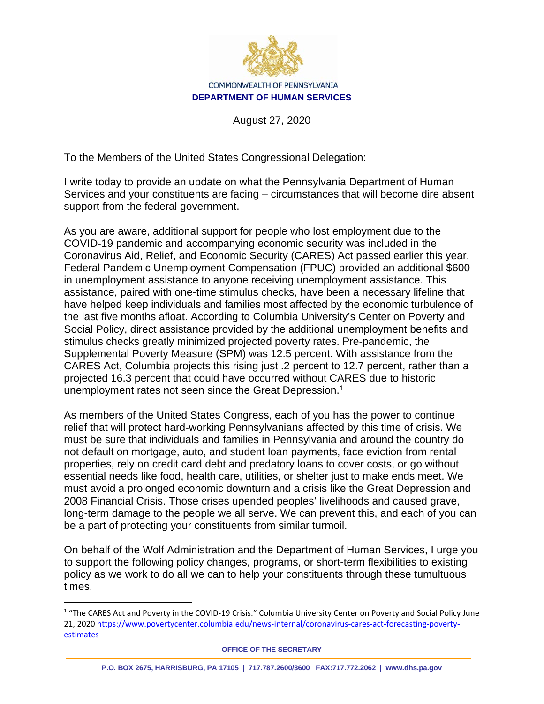

#### COMMONWEALTH OF PENNSYLVANIA **DEPARTMENT OF HUMAN SERVICES**

August 27, 2020

To the Members of the United States Congressional Delegation:

I write today to provide an update on what the Pennsylvania Department of Human Services and your constituents are facing – circumstances that will become dire absent support from the federal government.

As you are aware, additional support for people who lost employment due to the COVID-19 pandemic and accompanying economic security was included in the Coronavirus Aid, Relief, and Economic Security (CARES) Act passed earlier this year. Federal Pandemic Unemployment Compensation (FPUC) provided an additional \$600 in unemployment assistance to anyone receiving unemployment assistance. This assistance, paired with one-time stimulus checks, have been a necessary lifeline that have helped keep individuals and families most affected by the economic turbulence of the last five months afloat. According to Columbia University's Center on Poverty and Social Policy, direct assistance provided by the additional unemployment benefits and stimulus checks greatly minimized projected poverty rates. Pre-pandemic, the Supplemental Poverty Measure (SPM) was 12.5 percent. With assistance from the CARES Act, Columbia projects this rising just .2 percent to 12.7 percent, rather than a projected 16.3 percent that could have occurred without CARES due to historic unemployment rates not seen since the Great Depression.<sup>[1](#page-0-0)</sup>

As members of the United States Congress, each of you has the power to continue relief that will protect hard-working Pennsylvanians affected by this time of crisis. We must be sure that individuals and families in Pennsylvania and around the country do not default on mortgage, auto, and student loan payments, face eviction from rental properties, rely on credit card debt and predatory loans to cover costs, or go without essential needs like food, health care, utilities, or shelter just to make ends meet. We must avoid a prolonged economic downturn and a crisis like the Great Depression and 2008 Financial Crisis. Those crises upended peoples' livelihoods and caused grave, long-term damage to the people we all serve. We can prevent this, and each of you can be a part of protecting your constituents from similar turmoil.

On behalf of the Wolf Administration and the Department of Human Services, I urge you to support the following policy changes, programs, or short-term flexibilities to existing policy as we work to do all we can to help your constituents through these tumultuous times.

<span id="page-0-0"></span><sup>&</sup>lt;sup>1</sup> "The CARES Act and Poverty in the COVID-19 Crisis." Columbia University Center on Poverty and Social Policy June 21, 2020 [https://www.povertycenter.columbia.edu/news-internal/coronavirus-cares-act-forecasting-poverty](https://www.povertycenter.columbia.edu/news-internal/coronavirus-cares-act-forecasting-poverty-estimates)[estimates](https://www.povertycenter.columbia.edu/news-internal/coronavirus-cares-act-forecasting-poverty-estimates)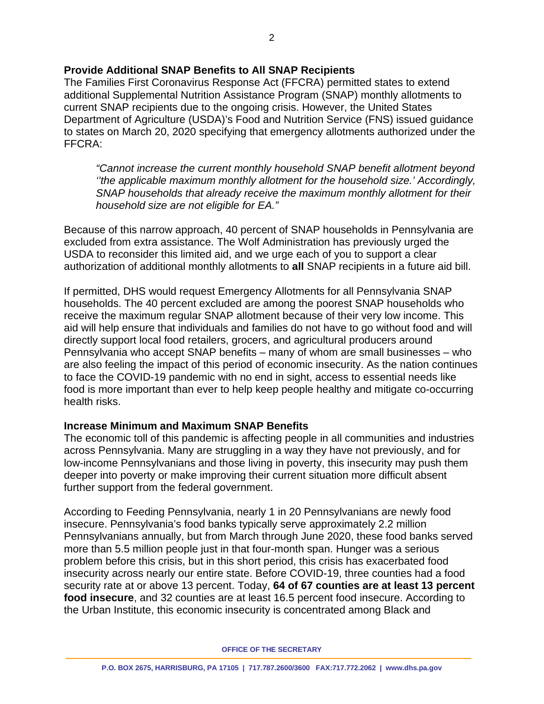# **Provide Additional SNAP Benefits to All SNAP Recipients**

The Families First Coronavirus Response Act (FFCRA) permitted states to extend additional Supplemental Nutrition Assistance Program (SNAP) monthly allotments to current SNAP recipients due to the ongoing crisis. However, the United States Department of Agriculture (USDA)'s Food and Nutrition Service (FNS) issued guidance to states on March 20, 2020 specifying that emergency allotments authorized under the FFCRA:

*"Cannot increase the current monthly household SNAP benefit allotment beyond ''the applicable maximum monthly allotment for the household size.' Accordingly, SNAP households that already receive the maximum monthly allotment for their household size are not eligible for EA."*

Because of this narrow approach, 40 percent of SNAP households in Pennsylvania are excluded from extra assistance. The Wolf Administration has previously urged the USDA to reconsider this limited aid, and we urge each of you to support a clear authorization of additional monthly allotments to **all** SNAP recipients in a future aid bill.

If permitted, DHS would request Emergency Allotments for all Pennsylvania SNAP households. The 40 percent excluded are among the poorest SNAP households who receive the maximum regular SNAP allotment because of their very low income. This aid will help ensure that individuals and families do not have to go without food and will directly support local food retailers, grocers, and agricultural producers around Pennsylvania who accept SNAP benefits – many of whom are small businesses – who are also feeling the impact of this period of economic insecurity. As the nation continues to face the COVID-19 pandemic with no end in sight, access to essential needs like food is more important than ever to help keep people healthy and mitigate co-occurring health risks.

#### **Increase Minimum and Maximum SNAP Benefits**

The economic toll of this pandemic is affecting people in all communities and industries across Pennsylvania. Many are struggling in a way they have not previously, and for low-income Pennsylvanians and those living in poverty, this insecurity may push them deeper into poverty or make improving their current situation more difficult absent further support from the federal government.

According to Feeding Pennsylvania, nearly 1 in 20 Pennsylvanians are newly food insecure. Pennsylvania's food banks typically serve approximately 2.2 million Pennsylvanians annually, but from March through June 2020, these food banks served more than 5.5 million people just in that four-month span. Hunger was a serious problem before this crisis, but in this short period, this crisis has exacerbated food insecurity across nearly our entire state. Before COVID-19, three counties had a food security rate at or above 13 percent. Today, **64 of 67 counties are at least 13 percent food insecure**, and 32 counties are at least 16.5 percent food insecure. According to the Urban Institute, this economic insecurity is concentrated among Black and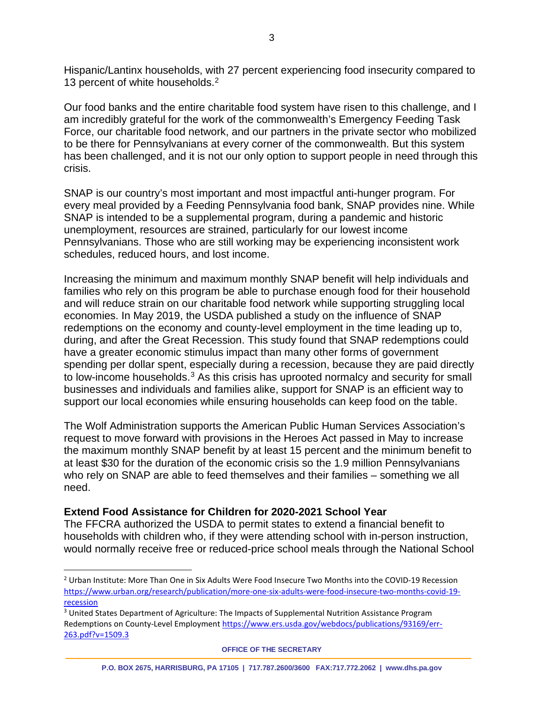Hispanic/Lantinx households, with 27 percent experiencing food insecurity compared to 13 percent of white households.<sup>[2](#page-2-0)</sup>

Our food banks and the entire charitable food system have risen to this challenge, and I am incredibly grateful for the work of the commonwealth's Emergency Feeding Task Force, our charitable food network, and our partners in the private sector who mobilized to be there for Pennsylvanians at every corner of the commonwealth. But this system has been challenged, and it is not our only option to support people in need through this crisis.

SNAP is our country's most important and most impactful anti-hunger program. For every meal provided by a Feeding Pennsylvania food bank, SNAP provides nine. While SNAP is intended to be a supplemental program, during a pandemic and historic unemployment, resources are strained, particularly for our lowest income Pennsylvanians. Those who are still working may be experiencing inconsistent work schedules, reduced hours, and lost income.

Increasing the minimum and maximum monthly SNAP benefit will help individuals and families who rely on this program be able to purchase enough food for their household and will reduce strain on our charitable food network while supporting struggling local economies. In May 2019, the USDA published a study on the influence of SNAP redemptions on the economy and county-level employment in the time leading up to, during, and after the Great Recession. This study found that SNAP redemptions could have a greater economic stimulus impact than many other forms of government spending per dollar spent, especially during a recession, because they are paid directly to low-income households.<sup>[3](#page-2-1)</sup> As this crisis has uprooted normalcy and security for small businesses and individuals and families alike, support for SNAP is an efficient way to support our local economies while ensuring households can keep food on the table.

The Wolf Administration supports the American Public Human Services Association's request to move forward with provisions in the Heroes Act passed in May to increase the maximum monthly SNAP benefit by at least 15 percent and the minimum benefit to at least \$30 for the duration of the economic crisis so the 1.9 million Pennsylvanians who rely on SNAP are able to feed themselves and their families – something we all need.

# **Extend Food Assistance for Children for 2020-2021 School Year**

The FFCRA authorized the USDA to permit states to extend a financial benefit to households with children who, if they were attending school with in-person instruction, would normally receive free or reduced-price school meals through the National School

<span id="page-2-0"></span><sup>2</sup> Urban Institute: More Than One in Six Adults Were Food Insecure Two Months into the COVID-19 Recession [https://www.urban.org/research/publication/more-one-six-adults-were-food-insecure-two-months-covid-19](https://www.urban.org/research/publication/more-one-six-adults-were-food-insecure-two-months-covid-19-recession) [recession](https://www.urban.org/research/publication/more-one-six-adults-were-food-insecure-two-months-covid-19-recession)

<span id="page-2-1"></span><sup>&</sup>lt;sup>3</sup> United States Department of Agriculture: The Impacts of Supplemental Nutrition Assistance Program Redemptions on County-Level Employmen[t https://www.ers.usda.gov/webdocs/publications/93169/err-](https://www.ers.usda.gov/webdocs/publications/93169/err-263.pdf?v=1509.3)[263.pdf?v=1509.3](https://www.ers.usda.gov/webdocs/publications/93169/err-263.pdf?v=1509.3)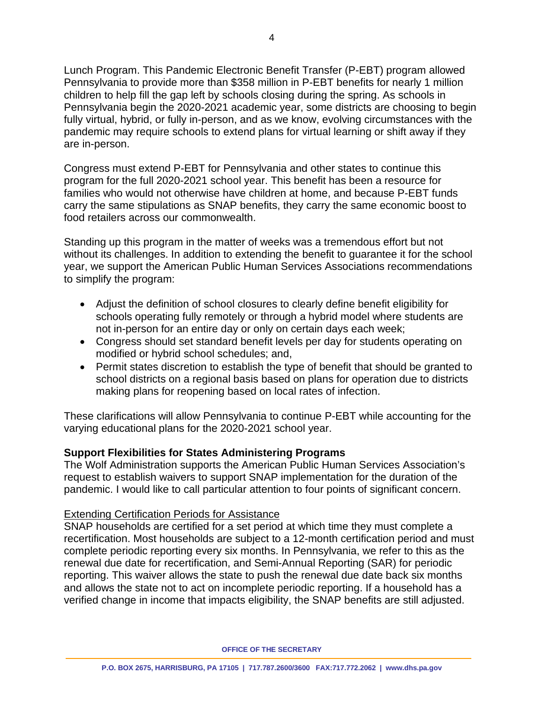Lunch Program. This Pandemic Electronic Benefit Transfer (P-EBT) program allowed Pennsylvania to provide more than \$358 million in P-EBT benefits for nearly 1 million children to help fill the gap left by schools closing during the spring. As schools in Pennsylvania begin the 2020-2021 academic year, some districts are choosing to begin fully virtual, hybrid, or fully in-person, and as we know, evolving circumstances with the pandemic may require schools to extend plans for virtual learning or shift away if they are in-person.

Congress must extend P-EBT for Pennsylvania and other states to continue this program for the full 2020-2021 school year. This benefit has been a resource for families who would not otherwise have children at home, and because P-EBT funds carry the same stipulations as SNAP benefits, they carry the same economic boost to food retailers across our commonwealth.

Standing up this program in the matter of weeks was a tremendous effort but not without its challenges. In addition to extending the benefit to guarantee it for the school year, we support the American Public Human Services Associations recommendations to simplify the program:

- Adjust the definition of school closures to clearly define benefit eligibility for schools operating fully remotely or through a hybrid model where students are not in-person for an entire day or only on certain days each week;
- Congress should set standard benefit levels per day for students operating on modified or hybrid school schedules; and,
- Permit states discretion to establish the type of benefit that should be granted to school districts on a regional basis based on plans for operation due to districts making plans for reopening based on local rates of infection.

These clarifications will allow Pennsylvania to continue P-EBT while accounting for the varying educational plans for the 2020-2021 school year.

# **Support Flexibilities for States Administering Programs**

The Wolf Administration supports the American Public Human Services Association's request to establish waivers to support SNAP implementation for the duration of the pandemic. I would like to call particular attention to four points of significant concern.

# Extending Certification Periods for Assistance

SNAP households are certified for a set period at which time they must complete a recertification. Most households are subject to a 12-month certification period and must complete periodic reporting every six months. In Pennsylvania, we refer to this as the renewal due date for recertification, and Semi-Annual Reporting (SAR) for periodic reporting. This waiver allows the state to push the renewal due date back six months and allows the state not to act on incomplete periodic reporting. If a household has a verified change in income that impacts eligibility, the SNAP benefits are still adjusted.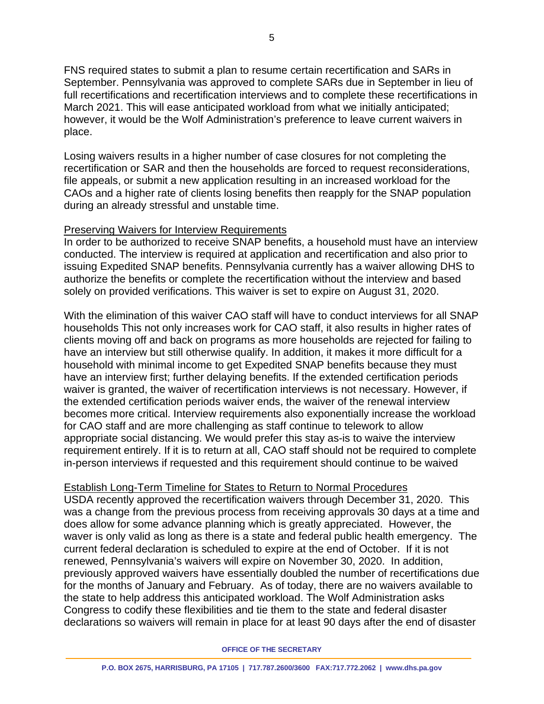FNS required states to submit a plan to resume certain recertification and SARs in September. Pennsylvania was approved to complete SARs due in September in lieu of full recertifications and recertification interviews and to complete these recertifications in March 2021. This will ease anticipated workload from what we initially anticipated; however, it would be the Wolf Administration's preference to leave current waivers in place.

Losing waivers results in a higher number of case closures for not completing the recertification or SAR and then the households are forced to request reconsiderations, file appeals, or submit a new application resulting in an increased workload for the CAOs and a higher rate of clients losing benefits then reapply for the SNAP population during an already stressful and unstable time.

# Preserving Waivers for Interview Requirements

In order to be authorized to receive SNAP benefits, a household must have an interview conducted. The interview is required at application and recertification and also prior to issuing Expedited SNAP benefits. Pennsylvania currently has a waiver allowing DHS to authorize the benefits or complete the recertification without the interview and based solely on provided verifications. This waiver is set to expire on August 31, 2020.

With the elimination of this waiver CAO staff will have to conduct interviews for all SNAP households This not only increases work for CAO staff, it also results in higher rates of clients moving off and back on programs as more households are rejected for failing to have an interview but still otherwise qualify. In addition, it makes it more difficult for a household with minimal income to get Expedited SNAP benefits because they must have an interview first; further delaying benefits. If the extended certification periods waiver is granted, the waiver of recertification interviews is not necessary. However, if the extended certification periods waiver ends, the waiver of the renewal interview becomes more critical. Interview requirements also exponentially increase the workload for CAO staff and are more challenging as staff continue to telework to allow appropriate social distancing. We would prefer this stay as-is to waive the interview requirement entirely. If it is to return at all, CAO staff should not be required to complete in-person interviews if requested and this requirement should continue to be waived

# Establish Long-Term Timeline for States to Return to Normal Procedures

USDA recently approved the recertification waivers through December 31, 2020. This was a change from the previous process from receiving approvals 30 days at a time and does allow for some advance planning which is greatly appreciated. However, the waver is only valid as long as there is a state and federal public health emergency. The current federal declaration is scheduled to expire at the end of October. If it is not renewed, Pennsylvania's waivers will expire on November 30, 2020. In addition, previously approved waivers have essentially doubled the number of recertifications due for the months of January and February. As of today, there are no waivers available to the state to help address this anticipated workload. The Wolf Administration asks Congress to codify these flexibilities and tie them to the state and federal disaster declarations so waivers will remain in place for at least 90 days after the end of disaster